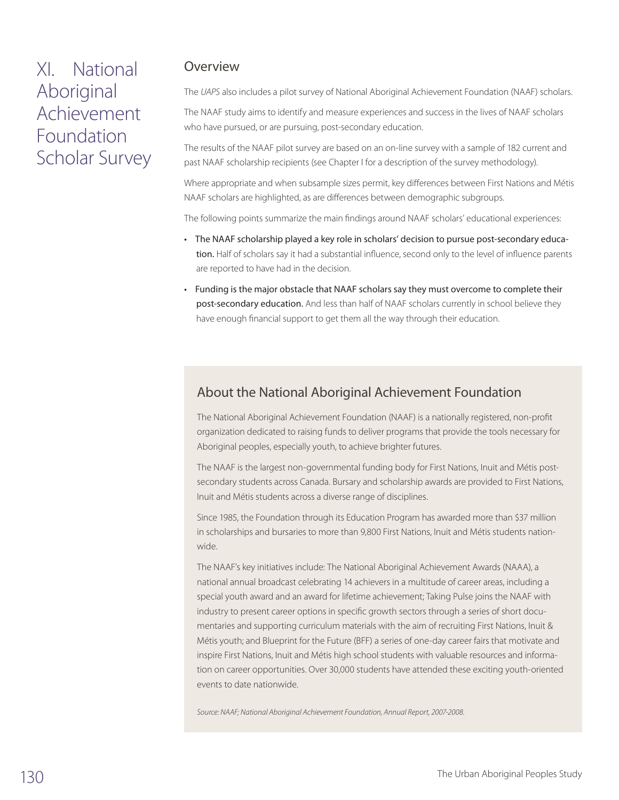# XI. National Aboriginal Achievement Foundation Scholar Survey

### Overview

The *UAPS* also includes a pilot survey of National Aboriginal Achievement Foundation (NAAF) scholars.

The NAAF study aims to identify and measure experiences and success in the lives of NAAF scholars who have pursued, or are pursuing, post-secondary education.

The results of the NAAF pilot survey are based on an on-line survey with a sample of 182 current and past NAAF scholarship recipients (see Chapter I for a description of the survey methodology).

Where appropriate and when subsample sizes permit, key differences between First Nations and Métis NAAF scholars are highlighted, as are differences between demographic subgroups.

The following points summarize the main findings around NAAF scholars' educational experiences:

- The NAAF scholarship played a key role in scholars' decision to pursue post-secondary education. Half of scholars say it had a substantial influence, second only to the level of influence parents are reported to have had in the decision.
- Funding is the major obstacle that NAAF scholars say they must overcome to complete their post-secondary education. And less than half of NAAF scholars currently in school believe they have enough financial support to get them all the way through their education.

## About the National Aboriginal Achievement Foundation

The National Aboriginal Achievement Foundation (NAAF) is a nationally registered, non-profit organization dedicated to raising funds to deliver programs that provide the tools necessary for Aboriginal peoples, especially youth, to achieve brighter futures.

The NAAF is the largest non-governmental funding body for First Nations, Inuit and Métis postsecondary students across Canada. Bursary and scholarship awards are provided to First Nations, Inuit and Métis students across a diverse range of disciplines.

Since 1985, the Foundation through its Education Program has awarded more than \$37 million in scholarships and bursaries to more than 9,800 First Nations, Inuit and Métis students nationwide.

The NAAF's key initiatives include: The National Aboriginal Achievement Awards (NAAA), a national annual broadcast celebrating 14 achievers in a multitude of career areas, including a special youth award and an award for lifetime achievement; Taking Pulse joins the NAAF with industry to present career options in specific growth sectors through a series of short documentaries and supporting curriculum materials with the aim of recruiting First Nations, Inuit & Métis youth; and Blueprint for the Future (BFF) a series of one-day career fairs that motivate and inspire First Nations, Inuit and Métis high school students with valuable resources and information on career opportunities. Over 30,000 students have attended these exciting youth-oriented events to date nationwide.

*Source: NAAF; National Aboriginal Achievement Foundation, Annual Report, 2007-2008.*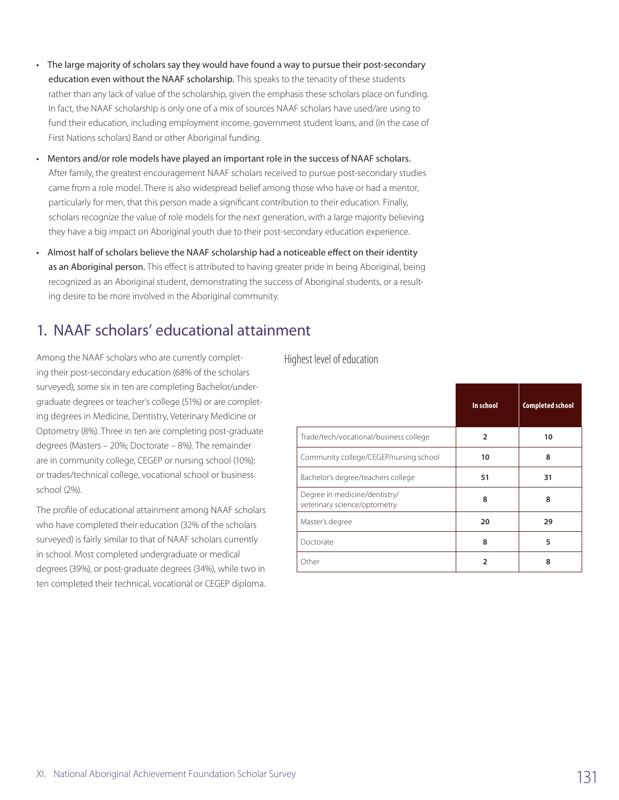- The large majority of scholars say they would have found a way to pursue their post-secondary education even without the NAAF scholarship. This speaks to the tenacity of these students rather than any lack of value of the scholarship, given the emphasis these scholars place on funding. In fact, the NAAF scholarship is only one of a mix of sources NAAF scholars have used/are using to fund their education, including employment income, government student loans, and (in the case of First Nations scholars) Band or other Aboriginal funding.
- Mentors and/or role models have played an important role in the success of NAAF scholars. After family, the greatest encouragement NAAF scholars received to pursue post-secondary studies came from a role model. There is also widespread belief among those who have or had a mentor, particularly for men, that this person made a significant contribution to their education. Finally, scholars recognize the value of role models for the next generation, with a large majority believing they have a big impact on Aboriginal youth due to their post-secondary education experience.
- Almost half of scholars believe the NAAF scholarship had a noticeable effect on their identity as an Aboriginal person. This effect is attributed to having greater pride in being Aboriginal, being recognized as an Aboriginal student, demonstrating the success of Aboriginal students, or a resulting desire to be more involved in the Aboriginal community.

# 1. NAAF scholars' educational attainment

Among the NAAF scholars who are currently completing their post-secondary education (68% of the scholars surveyed), some six in ten are completing Bachelor/undergraduate degrees or teacher's college (51%) or are completing degrees in Medicine, Dentistry, Veterinary Medicine or Optometry (8%). Three in ten are completing post-graduate degrees (Masters – 20%; Doctorate – 8%). The remainder are in community college, CEGEP or nursing school (10%); or trades/technical college, vocational school or business school (2%).

The profile of educational attainment among NAAF scholars who have completed their education (32% of the scholars surveyed) is fairly similar to that of NAAF scholars currently in school. Most completed undergraduate or medical degrees (39%), or post-graduate degrees (34%), while two in ten completed their technical, vocational or CEGEP diploma.

Highest level of education

|                                                               | In school    | <b>Completed school</b> |
|---------------------------------------------------------------|--------------|-------------------------|
| Trade/tech/vocational/business college                        | 2            | 10                      |
| Community college/CEGEP/nursing school                        | 10           | 8                       |
| Bachelor's degree/teachers college                            | 51           | 31                      |
| Degree in medicine/dentistry/<br>veterinary science/optometry | 8            | 8                       |
| Master's degree                                               | 20           | 29                      |
| Doctorate                                                     | 8            | 5                       |
| Other                                                         | $\mathbf{z}$ | 8                       |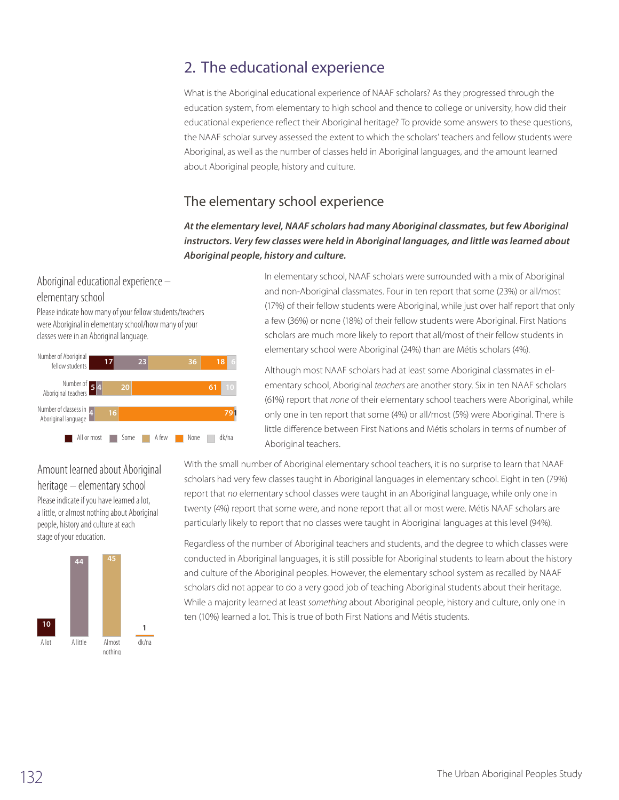# 2. The educational experience

What is the Aboriginal educational experience of NAAF scholars? As they progressed through the education system, from elementary to high school and thence to college or university, how did their educational experience reflect their Aboriginal heritage? To provide some answers to these questions, the NAAF scholar survey assessed the extent to which the scholars' teachers and fellow students were Aboriginal, as well as the number of classes held in Aboriginal languages, and the amount learned about Aboriginal people, history and culture.

### The elementary school experience

*At the elementary level, NAAF scholars had many Aboriginal classmates, but few Aboriginal instructors. Very few classes were held in Aboriginal languages, and little was learned about Aboriginal people, history and culture.*

### Aboriginal educational experience – elementary school

Please indicate how many of your fellow students/teachers were Aboriginal in elementary school/how many of your classes were in an Aboriginal language.



In elementary school, NAAF scholars were surrounded with a mix of Aboriginal and non-Aboriginal classmates. Four in ten report that some (23%) or all/most (17%) of their fellow students were Aboriginal, while just over half report that only a few (36%) or none (18%) of their fellow students were Aboriginal. First Nations scholars are much more likely to report that all/most of their fellow students in elementary school were Aboriginal (24%) than are Métis scholars (4%).

Although most NAAF scholars had at least some Aboriginal classmates in elementary school, Aboriginal *teachers* are another story. Six in ten NAAF scholars (61%) report that *none* of their elementary school teachers were Aboriginal, while only one in ten report that some (4%) or all/most (5%) were Aboriginal. There is little difference between First Nations and Métis scholars in terms of number of Aboriginal teachers.

Amount learned about Aboriginal heritage – elementary school Please indicate if you have learned a lot, a little, or almost nothing about Aboriginal people, history and culture at each stage of your education.



With the small number of Aboriginal elementary school teachers, it is no surprise to learn that NAAF scholars had very few classes taught in Aboriginal languages in elementary school. Eight in ten (79%) report that no elementary school classes were taught in an Aboriginal language, while only one in twenty (4%) report that some were, and none report that all or most were. Métis NAAF scholars are particularly likely to report that no classes were taught in Aboriginal languages at this level (94%).

Regardless of the number of Aboriginal teachers and students, and the degree to which classes were conducted in Aboriginal languages, it is still possible for Aboriginal students to learn about the history and culture of the Aboriginal peoples. However, the elementary school system as recalled by NAAF scholars did not appear to do a very good job of teaching Aboriginal students about their heritage. While a majority learned at least *something* about Aboriginal people, history and culture, only one in ten (10%) learned a lot. This is true of both First Nations and Métis students.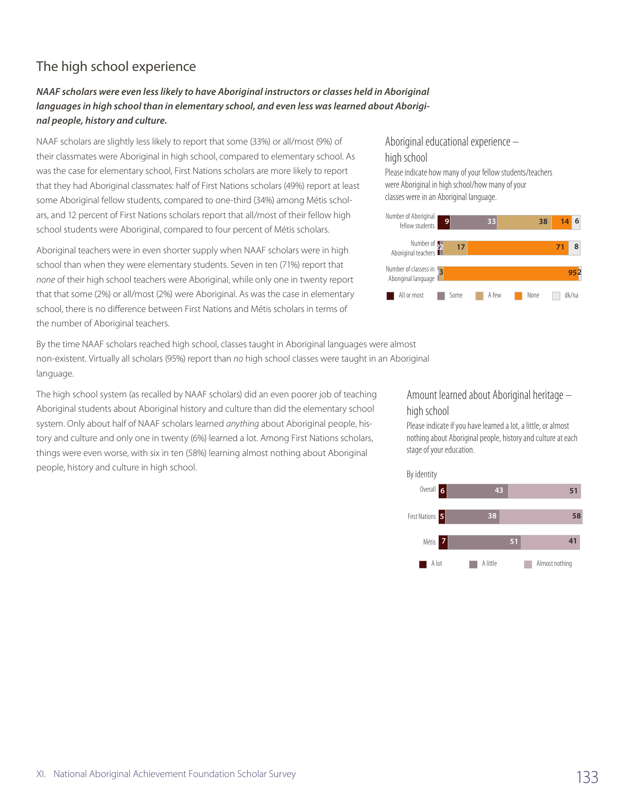## The high school experience

### *NAAF scholars were even less likely to have Aboriginal instructors or classes held in Aboriginal languages in high school than in elementary school, and even less was learned about Aboriginal people, history and culture.*

NAAF scholars are slightly less likely to report that some (33%) or all/most (9%) of their classmates were Aboriginal in high school, compared to elementary school. As was the case for elementary school, First Nations scholars are more likely to report that they had Aboriginal classmates: half of First Nations scholars (49%) report at least some Aboriginal fellow students, compared to one-third (34%) among Métis scholars, and 12 percent of First Nations scholars report that all/most of their fellow high school students were Aboriginal, compared to four percent of Métis scholars.

Aboriginal teachers were in even shorter supply when NAAF scholars were in high school than when they were elementary students. Seven in ten (71%) report that *none* of their high school teachers were Aboriginal, while only one in twenty report that that some (2%) or all/most (2%) were Aboriginal. As was the case in elementary school, there is no difference between First Nations and Métis scholars in terms of the number of Aboriginal teachers.

By the time NAAF scholars reached high school, classes taught in Aboriginal languages were almost non-existent. Virtually all scholars (95%) report than *no* high school classes were taught in an Aboriginal language.

The high school system (as recalled by NAAF scholars) did an even poorer job of teaching Aboriginal students about Aboriginal history and culture than did the elementary school system. Only about half of NAAF scholars learned *anything* about Aboriginal people, history and culture and only one in twenty (6%) learned a lot. Among First Nations scholars, things were even worse, with six in ten (58%) learning almost nothing about Aboriginal people, history and culture in high school.

### Aboriginal educational experience – high school

Please indicate how many of your fellow students/teachers were Aboriginal in high school/how many of your classes were in an Aboriginal language.



Amount learned about Aboriginal heritage – high school

Please indicate if you have learned a lot, a little, or almost nothing about Aboriginal people, history and culture at each stage of your education.

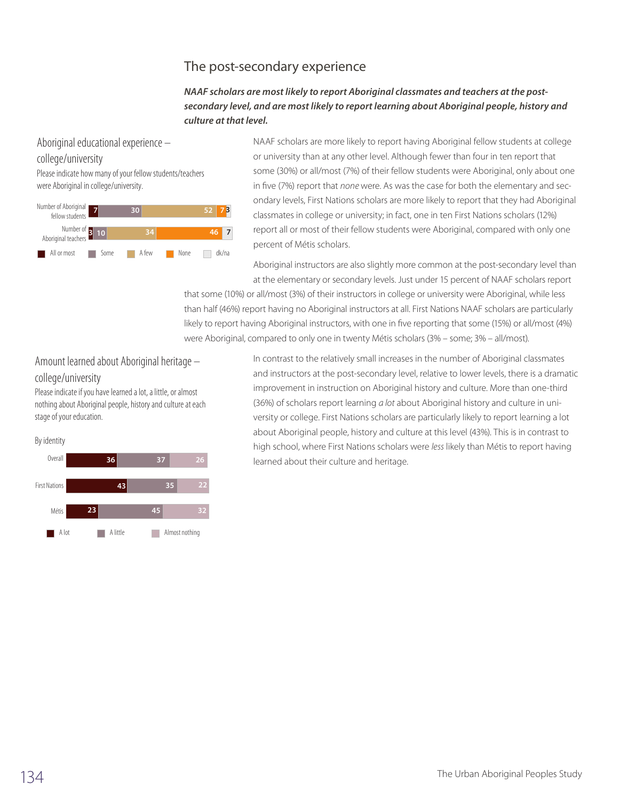## The post-secondary experience

#### *NAAF scholars are most likely to report Aboriginal classmates and teachers at the postsecondary level, and are most likely to report learning about Aboriginal people, history and culture at that level.*

#### Aboriginal educational experience –

#### college/university

Please indicate how many of your fellow students/teachers were Aboriginal in college/university.



NAAF scholars are more likely to report having Aboriginal fellow students at college or university than at any other level. Although fewer than four in ten report that some (30%) or all/most (7%) of their fellow students were Aboriginal, only about one in five (7%) report that *none* were. As was the case for both the elementary and secondary levels, First Nations scholars are more likely to report that they had Aboriginal classmates in college or university; in fact, one in ten First Nations scholars (12%) report all or most of their fellow students were Aboriginal, compared with only one percent of Métis scholars.

Aboriginal instructors are also slightly more common at the post-secondary level than at the elementary or secondary levels. Just under 15 percent of NAAF scholars report

that some (10%) or all/most (3%) of their instructors in college or university were Aboriginal, while less than half (46%) report having no Aboriginal instructors at all. First Nations NAAF scholars are particularly likely to report having Aboriginal instructors, with one in five reporting that some (15%) or all/most (4%) were Aboriginal, compared to only one in twenty Métis scholars (3% – some; 3% – all/most).

### Amount learned about Aboriginal heritage – college/university

Please indicate if you have learned a lot, a little, or almost nothing about Aboriginal people, history and culture at each stage of your education.



In contrast to the relatively small increases in the number of Aboriginal classmates and instructors at the post-secondary level, relative to lower levels, there is a dramatic improvement in instruction on Aboriginal history and culture. More than one-third (36%) of scholars report learning *a lot* about Aboriginal history and culture in university or college. First Nations scholars are particularly likely to report learning a lot about Aboriginal people, history and culture at this level (43%). This is in contrast to high school, where First Nations scholars were *less* likely than Métis to report having learned about their culture and heritage.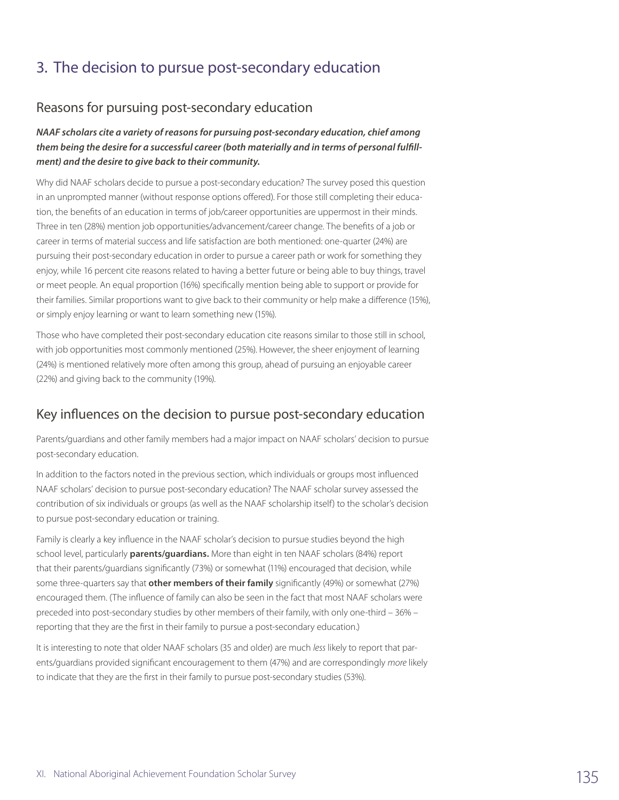# 3. The decision to pursue post-secondary education

### Reasons for pursuing post-secondary education

#### *NAAF scholars cite a variety of reasons for pursuing post-secondary education, chief among them being the desire for a successful career (both materially and in terms of personal fulfillment) and the desire to give back to their community.*

Why did NAAF scholars decide to pursue a post-secondary education? The survey posed this question in an unprompted manner (without response options offered). For those still completing their education, the benefits of an education in terms of job/career opportunities are uppermost in their minds. Three in ten (28%) mention job opportunities/advancement/career change. The benefits of a job or career in terms of material success and life satisfaction are both mentioned: one-quarter (24%) are pursuing their post-secondary education in order to pursue a career path or work for something they enjoy, while 16 percent cite reasons related to having a better future or being able to buy things, travel or meet people. An equal proportion (16%) specifically mention being able to support or provide for their families. Similar proportions want to give back to their community or help make a difference (15%), or simply enjoy learning or want to learn something new (15%).

Those who have completed their post-secondary education cite reasons similar to those still in school, with job opportunities most commonly mentioned (25%). However, the sheer enjoyment of learning (24%) is mentioned relatively more often among this group, ahead of pursuing an enjoyable career (22%) and giving back to the community (19%).

### Key influences on the decision to pursue post-secondary education

Parents/guardians and other family members had a major impact on NAAF scholars' decision to pursue post-secondary education.

In addition to the factors noted in the previous section, which individuals or groups most influenced NAAF scholars' decision to pursue post-secondary education? The NAAF scholar survey assessed the contribution of six individuals or groups (as well as the NAAF scholarship itself) to the scholar's decision to pursue post-secondary education or training.

Family is clearly a key influence in the NAAF scholar's decision to pursue studies beyond the high school level, particularly **parents/guardians.** More than eight in ten NAAF scholars (84%) report that their parents/guardians significantly (73%) or somewhat (11%) encouraged that decision, while some three-quarters say that **other members of their family** significantly (49%) or somewhat (27%) encouraged them. (The influence of family can also be seen in the fact that most NAAF scholars were preceded into post-secondary studies by other members of their family, with only one-third – 36% – reporting that they are the first in their family to pursue a post-secondary education.)

It is interesting to note that older NAAF scholars (35 and older) are much *less* likely to report that parents/guardians provided significant encouragement to them (47%) and are correspondingly *more* likely to indicate that they are the first in their family to pursue post-secondary studies (53%).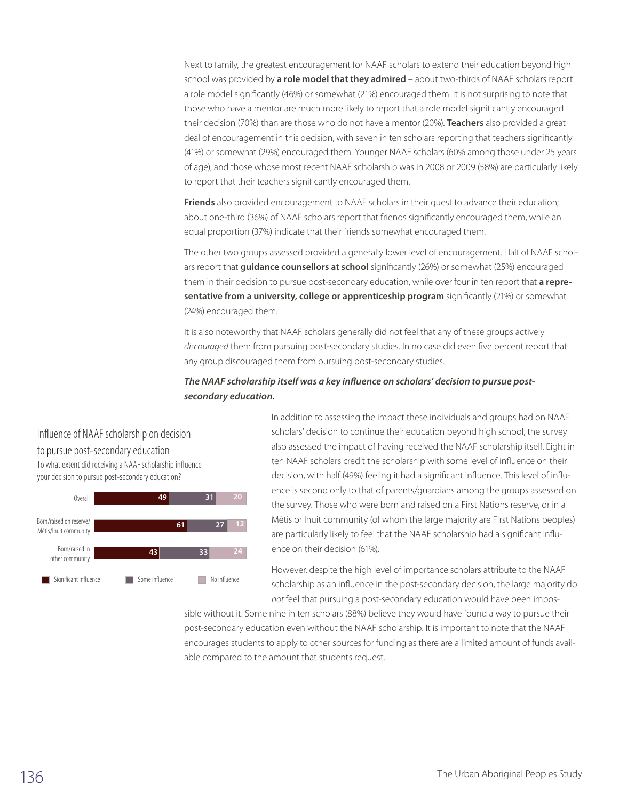Next to family, the greatest encouragement for NAAF scholars to extend their education beyond high school was provided by **a role model that they admired** – about two-thirds of NAAF scholars report a role model significantly (46%) or somewhat (21%) encouraged them. It is not surprising to note that those who have a mentor are much more likely to report that a role model significantly encouraged their decision (70%) than are those who do not have a mentor (20%). **Teachers** also provided a great deal of encouragement in this decision, with seven in ten scholars reporting that teachers significantly (41%) or somewhat (29%) encouraged them. Younger NAAF scholars (60% among those under 25 years of age), and those whose most recent NAAF scholarship was in 2008 or 2009 (58%) are particularly likely to report that their teachers significantly encouraged them.

**Friends** also provided encouragement to NAAF scholars in their quest to advance their education; about one-third (36%) of NAAF scholars report that friends significantly encouraged them, while an equal proportion (37%) indicate that their friends somewhat encouraged them.

The other two groups assessed provided a generally lower level of encouragement. Half of NAAF scholars report that **guidance counsellors at school** significantly (26%) or somewhat (25%) encouraged them in their decision to pursue post-secondary education, while over four in ten report that **a representative from a university, college or apprenticeship program** significantly (21%) or somewhat (24%) encouraged them.

It is also noteworthy that NAAF scholars generally did not feel that any of these groups actively *discouraged* them from pursuing post-secondary studies. In no case did even five percent report that any group discouraged them from pursuing post-secondary studies.

#### *The NAAF scholarship itself was a key influence on scholars' decision to pursue postsecondary education.*

Influence of NAAF scholarship on decision to pursue post-secondary education To what extent did receiving a NAAF scholarship influence your decision to pursue post-secondary education?



In addition to assessing the impact these individuals and groups had on NAAF scholars' decision to continue their education beyond high school, the survey also assessed the impact of having received the NAAF scholarship itself. Eight in ten NAAF scholars credit the scholarship with some level of influence on their decision, with half (49%) feeling it had a significant influence. This level of influence is second only to that of parents/guardians among the groups assessed on the survey. Those who were born and raised on a First Nations reserve, or in a Métis or Inuit community (of whom the large majority are First Nations peoples) are particularly likely to feel that the NAAF scholarship had a significant influence on their decision (61%).

However, despite the high level of importance scholars attribute to the NAAF scholarship as an influence in the post-secondary decision, the large majority do *not* feel that pursuing a post-secondary education would have been impos-

sible without it. Some nine in ten scholars (88%) believe they would have found a way to pursue their post-secondary education even without the NAAF scholarship. It is important to note that the NAAF encourages students to apply to other sources for funding as there are a limited amount of funds available compared to the amount that students request.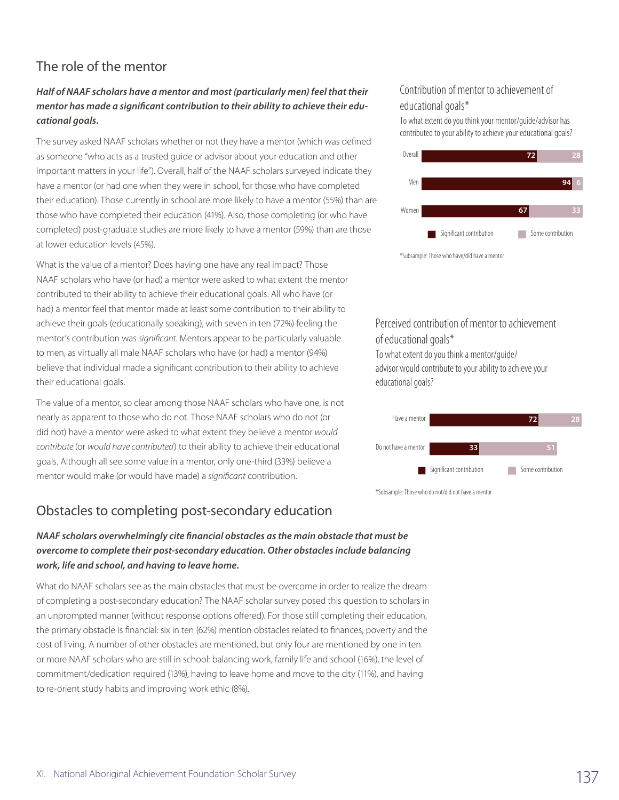## The role of the mentor

### *Half of NAAF scholars have a mentor and most (particularly men) feel that their mentor has made a significant contribution to their ability to achieve their educational goals.*

The survey asked NAAF scholars whether or not they have a mentor (which was defined as someone "who acts as a trusted guide or advisor about your education and other important matters in your life"). Overall, half of the NAAF scholars surveyed indicate they have a mentor (or had one when they were in school, for those who have completed their education). Those currently in school are more likely to have a mentor (55%) than are those who have completed their education (41%). Also, those completing (or who have completed) post-graduate studies are more likely to have a mentor (59%) than are those at lower education levels (45%).

What is the value of a mentor? Does having one have any real impact? Those NAAF scholars who have (or had) a mentor were asked to what extent the mentor contributed to their ability to achieve their educational goals. All who have (or had) a mentor feel that mentor made at least some contribution to their ability to achieve their goals (educationally speaking), with seven in ten (72%) feeling the mentor's contribution was *significant*. Mentors appear to be particularly valuable to men, as virtually all male NAAF scholars who have (or had) a mentor (94%) believe that individual made a significant contribution to their ability to achieve their educational goals.

The value of a mentor, so clear among those NAAF scholars who have one, is not nearly as apparent to those who do not. Those NAAF scholars who do not (or did not) have a mentor were asked to what extent they believe a mentor *would contribute* (or *would have contributed*) to their ability to achieve their educational goals. Although all see some value in a mentor, only one-third (33%) believe a mentor would make (or would have made) a *significant* contribution.

## Obstacles to completing post-secondary education

#### *NAAF scholars overwhelmingly cite financial obstacles as the main obstacle that must be overcome to complete their post-secondary education. Other obstacles include balancing work, life and school, and having to leave home.*

What do NAAF scholars see as the main obstacles that must be overcome in order to realize the dream of completing a post-secondary education? The NAAF scholar survey posed this question to scholars in an unprompted manner (without response options offered). For those still completing their education, the primary obstacle is financial: six in ten (62%) mention obstacles related to finances, poverty and the cost of living. A number of other obstacles are mentioned, but only four are mentioned by one in ten or more NAAF scholars who are still in school: balancing work, family life and school (16%), the level of commitment/dedication required (13%), having to leave home and move to the city (11%), and having to re-orient study habits and improving work ethic (8%).

### Contribution of mentor to achievement of educational goals\*

To what extent do you think your mentor/guide/advisor has contributed to your ability to achieve your educational goals?



Perceived contribution of mentor to achievement of educational goals\* To what extent do you think a mentor/guide/

advisor would contribute to your ability to achieve your educational goals?



\*Subsample: Those who do not/did not have a mentor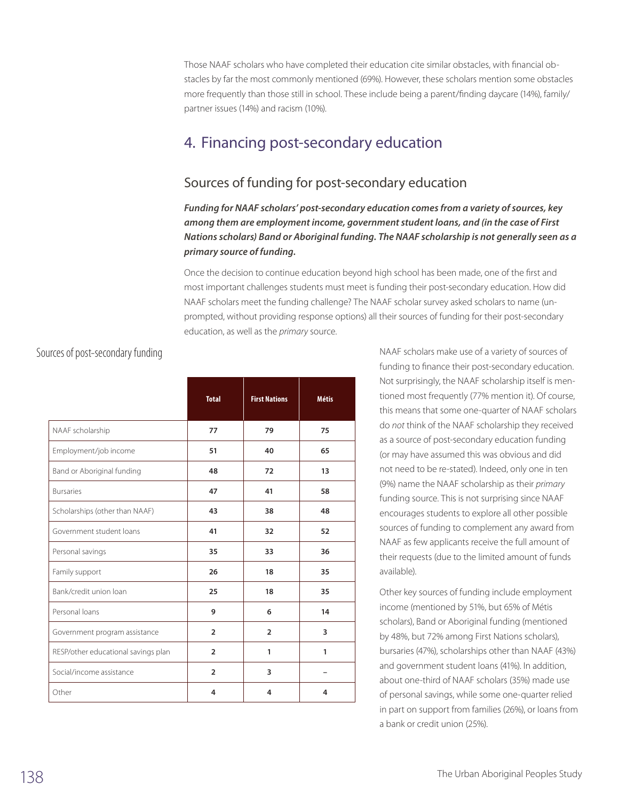Those NAAF scholars who have completed their education cite similar obstacles, with financial obstacles by far the most commonly mentioned (69%). However, these scholars mention some obstacles more frequently than those still in school. These include being a parent/finding daycare (14%), family/ partner issues (14%) and racism (10%).

# 4. Financing post-secondary education

## Sources of funding for post-secondary education

*Funding for NAAF scholars' post-secondary education comes from a variety of sources, key among them are employment income, government student loans, and (in the case of First Nations scholars) Band or Aboriginal funding. The NAAF scholarship is not generally seen as a primary source of funding.*

Once the decision to continue education beyond high school has been made, one of the first and most important challenges students must meet is funding their post-secondary education. How did NAAF scholars meet the funding challenge? The NAAF scholar survey asked scholars to name (unprompted, without providing response options) all their sources of funding for their post-secondary education, as well as the *primary* source.

|                                     | <b>Total</b>   | <b>First Nations</b> | <b>Métis</b> |
|-------------------------------------|----------------|----------------------|--------------|
| NAAF scholarship                    | 77             | 79                   | 75           |
| Employment/job income               | 51             | 40                   | 65           |
| Band or Aboriginal funding          | 48             | 72                   | 13           |
| <b>Bursaries</b>                    | 47             | 41                   | 58           |
| Scholarships (other than NAAF)      | 43             | 38                   | 48           |
| Government student loans            | 41             | 32                   | 52           |
| Personal savings                    | 35             | 33                   | 36           |
| Family support                      | 26             | 18                   | 35           |
| Bank/credit union loan              | 25             | 18                   | 35           |
| Personal loans                      | 9              | 6                    | 14           |
| Government program assistance       | $\overline{2}$ | $\overline{2}$       | 3            |
| RESP/other educational savings plan | $\overline{2}$ | 1                    | 1            |
| Social/income assistance            | $\overline{2}$ | 3                    |              |
| Other                               | 4              | 4                    | 4            |

### Sources of post-secondary funding

NAAF scholars make use of a variety of sources of funding to finance their post-secondary education. Not surprisingly, the NAAF scholarship itself is mentioned most frequently (77% mention it). Of course, this means that some one-quarter of NAAF scholars do *not* think of the NAAF scholarship they received as a source of post-secondary education funding (or may have assumed this was obvious and did not need to be re-stated). Indeed, only one in ten (9%) name the NAAF scholarship as their *primary* funding source. This is not surprising since NAAF encourages students to explore all other possible sources of funding to complement any award from NAAF as few applicants receive the full amount of their requests (due to the limited amount of funds available).

Other key sources of funding include employment income (mentioned by 51%, but 65% of Métis scholars), Band or Aboriginal funding (mentioned by 48%, but 72% among First Nations scholars), bursaries (47%), scholarships other than NAAF (43%) and government student loans (41%). In addition, about one-third of NAAF scholars (35%) made use of personal savings, while some one-quarter relied in part on support from families (26%), or loans from a bank or credit union (25%).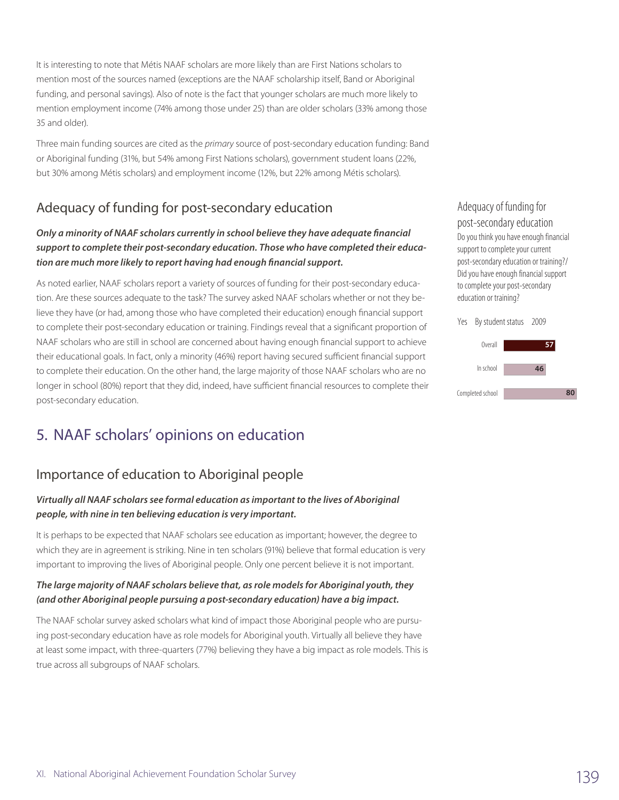It is interesting to note that Métis NAAF scholars are more likely than are First Nations scholars to mention most of the sources named (exceptions are the NAAF scholarship itself, Band or Aboriginal funding, and personal savings). Also of note is the fact that younger scholars are much more likely to mention employment income (74% among those under 25) than are older scholars (33% among those 35 and older).

Three main funding sources are cited as the *primary* source of post-secondary education funding: Band or Aboriginal funding (31%, but 54% among First Nations scholars), government student loans (22%, but 30% among Métis scholars) and employment income (12%, but 22% among Métis scholars).

## Adequacy of funding for post-secondary education

### *Only a minority of NAAF scholars currently in school believe they have adequate financial support to complete their post-secondary education. Those who have completed their education are much more likely to report having had enough financial support.*

As noted earlier, NAAF scholars report a variety of sources of funding for their post-secondary education. Are these sources adequate to the task? The survey asked NAAF scholars whether or not they believe they have (or had, among those who have completed their education) enough financial support to complete their post-secondary education or training. Findings reveal that a significant proportion of NAAF scholars who are still in school are concerned about having enough financial support to achieve their educational goals. In fact, only a minority (46%) report having secured sufficient financial support to complete their education. On the other hand, the large majority of those NAAF scholars who are no longer in school (80%) report that they did, indeed, have sufficient financial resources to complete their post-secondary education.

# 5. NAAF scholars' opinions on education

## Importance of education to Aboriginal people

#### *Virtually all NAAF scholars see formal education as important to the lives of Aboriginal people, with nine in ten believing education is very important.*

It is perhaps to be expected that NAAF scholars see education as important; however, the degree to which they are in agreement is striking. Nine in ten scholars (91%) believe that formal education is very important to improving the lives of Aboriginal people. Only one percent believe it is not important.

#### *The large majority of NAAF scholars believe that, as role models for Aboriginal youth, they (and other Aboriginal people pursuing a post-secondary education) have a big impact.*

The NAAF scholar survey asked scholars what kind of impact those Aboriginal people who are pursuing post-secondary education have as role models for Aboriginal youth. Virtually all believe they have at least some impact, with three-quarters (77%) believing they have a big impact as role models. This is true across all subgroups of NAAF scholars.

#### Adequacy of funding for post-secondary education Do you think you have enough financial support to complete your current post-secondary education or training?/ Did you have enough financial support to complete your post-secondary education or training?



**80**

Completed school